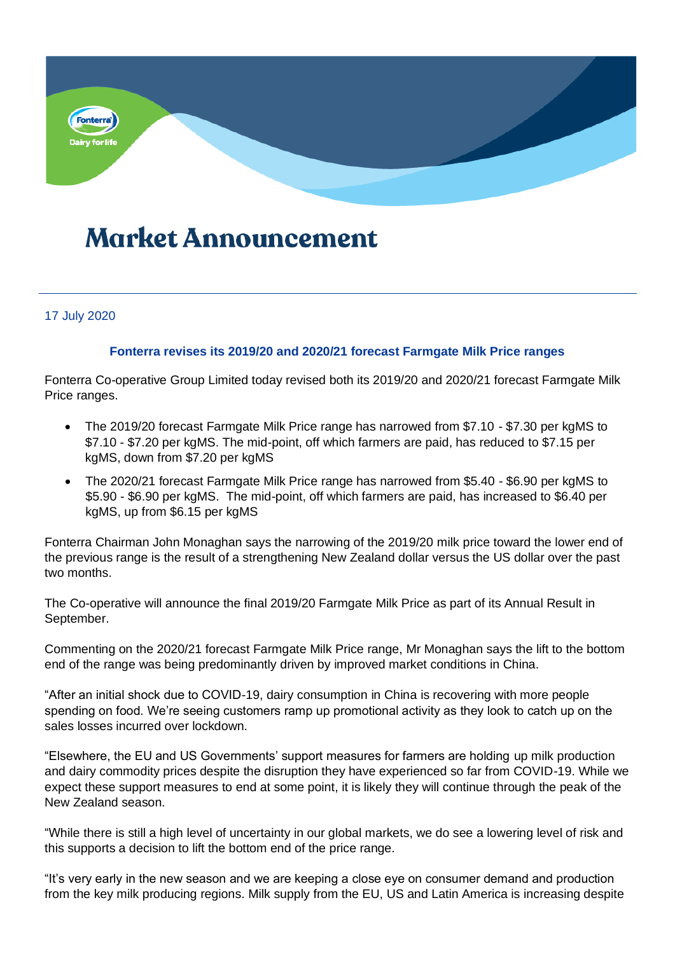

## **Market Announcement**

## 17 July 2020

## **Fonterra revises its 2019/20 and 2020/21 forecast Farmgate Milk Price ranges**

Fonterra Co-operative Group Limited today revised both its 2019/20 and 2020/21 forecast Farmgate Milk Price ranges.

- The 2019/20 forecast Farmgate Milk Price range has narrowed from \$7.10 \$7.30 per kgMS to \$7.10 - \$7.20 per kgMS. The mid-point, off which farmers are paid, has reduced to \$7.15 per kgMS, down from \$7.20 per kgMS
- The 2020/21 forecast Farmgate Milk Price range has narrowed from \$5.40 \$6.90 per kgMS to \$5.90 - \$6.90 per kgMS. The mid-point, off which farmers are paid, has increased to \$6.40 per kgMS, up from \$6.15 per kgMS

Fonterra Chairman John Monaghan says the narrowing of the 2019/20 milk price toward the lower end of the previous range is the result of a strengthening New Zealand dollar versus the US dollar over the past two months.

The Co-operative will announce the final 2019/20 Farmgate Milk Price as part of its Annual Result in September.

Commenting on the 2020/21 forecast Farmgate Milk Price range, Mr Monaghan says the lift to the bottom end of the range was being predominantly driven by improved market conditions in China.

"After an initial shock due to COVID-19, dairy consumption in China is recovering with more people spending on food. We're seeing customers ramp up promotional activity as they look to catch up on the sales losses incurred over lockdown.

"Elsewhere, the EU and US Governments' support measures for farmers are holding up milk production and dairy commodity prices despite the disruption they have experienced so far from COVID-19. While we expect these support measures to end at some point, it is likely they will continue through the peak of the New Zealand season.

"While there is still a high level of uncertainty in our global markets, we do see a lowering level of risk and this supports a decision to lift the bottom end of the price range.

"It's very early in the new season and we are keeping a close eye on consumer demand and production from the key milk producing regions. Milk supply from the EU, US and Latin America is increasing despite